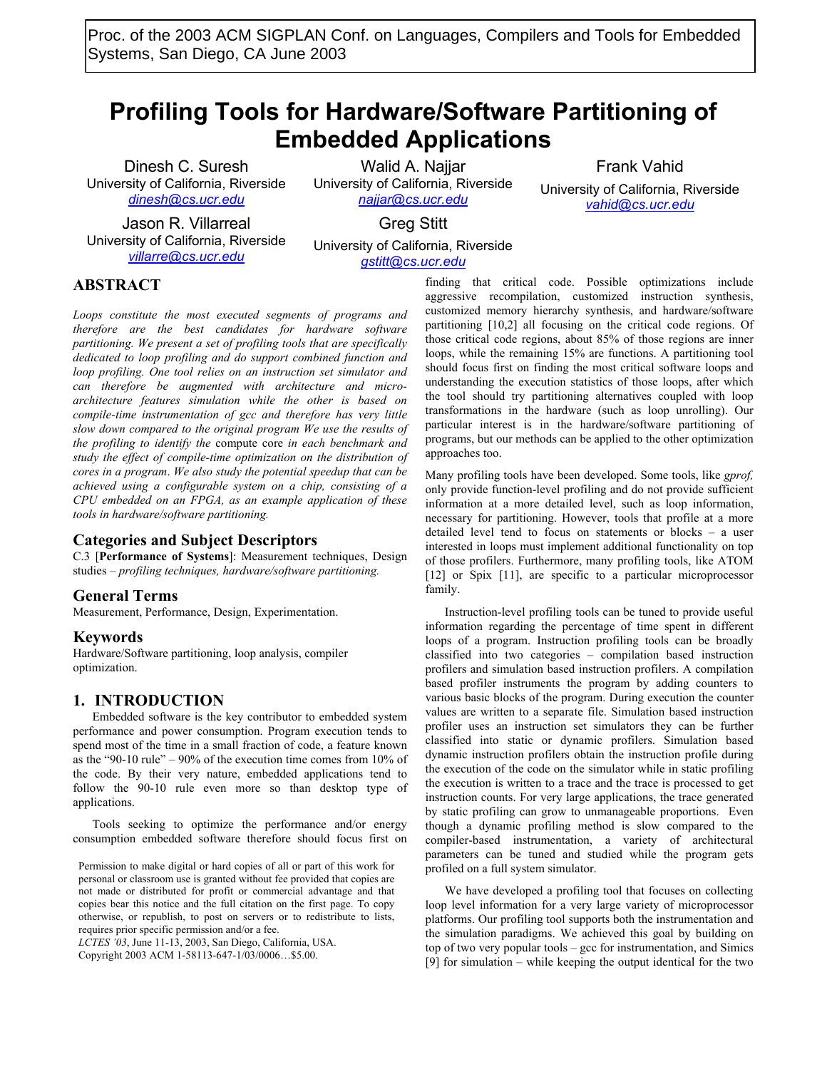# **Profiling Tools for Hardware/Software Partitioning of Embedded Applications**

Dinesh C. Suresh University of California, Riverside *dinesh@cs.ucr.edu*

Jason R. Villarreal University of California, Riverside *villarre@cs.ucr.edu*

Walid A. Najjar University of California, Riverside *najjar@cs.ucr.edu*

Frank Vahid

University of California, Riverside *vahid@cs.ucr.edu*

Greg Stitt

University of California, Riverside *gstitt@cs.ucr.edu*

## **ABSTRACT**

*Loops constitute the most executed segments of programs and therefore are the best candidates for hardware software partitioning. We present a set of profiling tools that are specifically dedicated to loop profiling and do support combined function and loop profiling. One tool relies on an instruction set simulator and can therefore be augmented with architecture and microarchitecture features simulation while the other is based on compile-time instrumentation of gcc and therefore has very little slow down compared to the original program We use the results of the profiling to identify the* compute core *in each benchmark and study the effect of compile-time optimization on the distribution of cores in a program*. *We also study the potential speedup that can be achieved using a configurable system on a chip, consisting of a CPU embedded on an FPGA, as an example application of these tools in hardware/software partitioning.*

## **Categories and Subject Descriptors**

C.3 [**Performance of Systems**]: Measurement techniques, Design studies – *profiling techniques, hardware/software partitioning.* 

## **General Terms**

Measurement, Performance, Design, Experimentation.

## **Keywords**

Hardware/Software partitioning, loop analysis, compiler optimization.

## **1. INTRODUCTION**

Embedded software is the key contributor to embedded system performance and power consumption. Program execution tends to spend most of the time in a small fraction of code, a feature known as the "90-10 rule" – 90% of the execution time comes from  $10\%$  of the code. By their very nature, embedded applications tend to follow the 90-10 rule even more so than desktop type of applications.

Tools seeking to optimize the performance and/or energy consumption embedded software therefore should focus first on

Permission to make digital or hard copies of all or part of this work for personal or classroom use is granted without fee provided that copies are not made or distributed for profit or commercial advantage and that copies bear this notice and the full citation on the first page. To copy otherwise, or republish, to post on servers or to redistribute to lists, requires prior specific permission and/or a fee.

*LCTES '03*, June 11-13, 2003, San Diego, California, USA. Copyright 2003 ACM 1-58113-647-1/03/0006…\$5.00.

finding that critical code. Possible optimizations include aggressive recompilation, customized instruction synthesis, customized memory hierarchy synthesis, and hardware/software partitioning [10,2] all focusing on the critical code regions. Of those critical code regions, about 85% of those regions are inner loops, while the remaining 15% are functions. A partitioning tool should focus first on finding the most critical software loops and understanding the execution statistics of those loops, after which the tool should try partitioning alternatives coupled with loop transformations in the hardware (such as loop unrolling). Our particular interest is in the hardware/software partitioning of programs, but our methods can be applied to the other optimization approaches too.

Many profiling tools have been developed. Some tools, like *gprof,*  only provide function-level profiling and do not provide sufficient information at a more detailed level, such as loop information, necessary for partitioning. However, tools that profile at a more detailed level tend to focus on statements or blocks – a user interested in loops must implement additional functionality on top of those profilers. Furthermore, many profiling tools, like ATOM [12] or Spix [11], are specific to a particular microprocessor family.

Instruction-level profiling tools can be tuned to provide useful information regarding the percentage of time spent in different loops of a program. Instruction profiling tools can be broadly classified into two categories – compilation based instruction profilers and simulation based instruction profilers. A compilation based profiler instruments the program by adding counters to various basic blocks of the program. During execution the counter values are written to a separate file. Simulation based instruction profiler uses an instruction set simulators they can be further classified into static or dynamic profilers. Simulation based dynamic instruction profilers obtain the instruction profile during the execution of the code on the simulator while in static profiling the execution is written to a trace and the trace is processed to get instruction counts. For very large applications, the trace generated by static profiling can grow to unmanageable proportions. Even though a dynamic profiling method is slow compared to the compiler-based instrumentation, a variety of architectural parameters can be tuned and studied while the program gets profiled on a full system simulator.

We have developed a profiling tool that focuses on collecting loop level information for a very large variety of microprocessor platforms. Our profiling tool supports both the instrumentation and the simulation paradigms. We achieved this goal by building on top of two very popular tools – gcc for instrumentation, and Simics [9] for simulation – while keeping the output identical for the two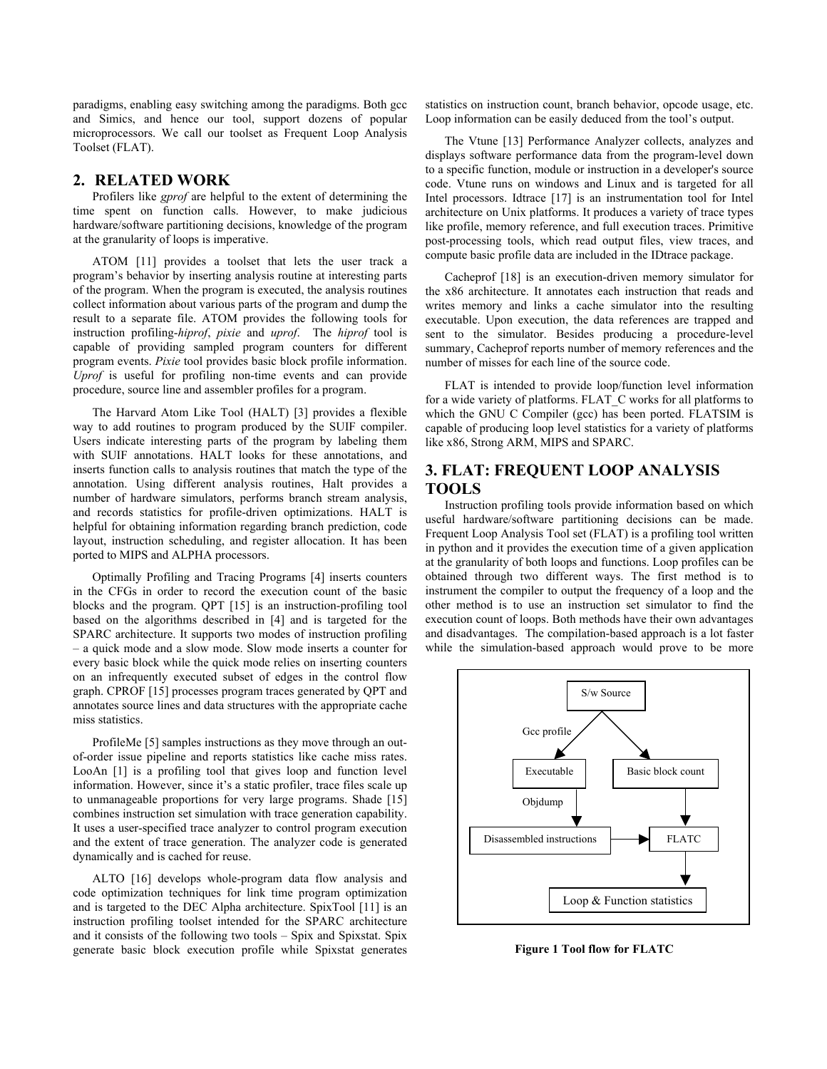paradigms, enabling easy switching among the paradigms. Both gcc and Simics, and hence our tool, support dozens of popular microprocessors. We call our toolset as Frequent Loop Analysis Toolset (FLAT).

#### **2. RELATED WORK**

Profilers like *gprof* are helpful to the extent of determining the time spent on function calls. However, to make judicious hardware/software partitioning decisions, knowledge of the program at the granularity of loops is imperative.

ATOM [11] provides a toolset that lets the user track a program's behavior by inserting analysis routine at interesting parts of the program. When the program is executed, the analysis routines collect information about various parts of the program and dump the result to a separate file. ATOM provides the following tools for instruction profiling-*hiprof*, *pixie* and *uprof*. The *hiprof* tool is capable of providing sampled program counters for different program events. *Pixie* tool provides basic block profile information. *Uprof* is useful for profiling non-time events and can provide procedure, source line and assembler profiles for a program.

The Harvard Atom Like Tool (HALT) [3] provides a flexible way to add routines to program produced by the SUIF compiler. Users indicate interesting parts of the program by labeling them with SUIF annotations. HALT looks for these annotations, and inserts function calls to analysis routines that match the type of the annotation. Using different analysis routines, Halt provides a number of hardware simulators, performs branch stream analysis, and records statistics for profile-driven optimizations. HALT is helpful for obtaining information regarding branch prediction, code layout, instruction scheduling, and register allocation. It has been ported to MIPS and ALPHA processors.

Optimally Profiling and Tracing Programs [4] inserts counters in the CFGs in order to record the execution count of the basic blocks and the program. QPT [15] is an instruction-profiling tool based on the algorithms described in [4] and is targeted for the SPARC architecture. It supports two modes of instruction profiling – a quick mode and a slow mode. Slow mode inserts a counter for every basic block while the quick mode relies on inserting counters on an infrequently executed subset of edges in the control flow graph. CPROF [15] processes program traces generated by QPT and annotates source lines and data structures with the appropriate cache miss statistics.

ProfileMe [5] samples instructions as they move through an outof-order issue pipeline and reports statistics like cache miss rates. LooAn [1] is a profiling tool that gives loop and function level information. However, since it's a static profiler, trace files scale up to unmanageable proportions for very large programs. Shade [15] combines instruction set simulation with trace generation capability. It uses a user-specified trace analyzer to control program execution and the extent of trace generation. The analyzer code is generated dynamically and is cached for reuse.

ALTO [16] develops whole-program data flow analysis and code optimization techniques for link time program optimization and is targeted to the DEC Alpha architecture. SpixTool [11] is an instruction profiling toolset intended for the SPARC architecture and it consists of the following two tools – Spix and Spixstat. Spix generate basic block execution profile while Spixstat generates statistics on instruction count, branch behavior, opcode usage, etc. Loop information can be easily deduced from the tool's output.

The Vtune [13] Performance Analyzer collects, analyzes and displays software performance data from the program-level down to a specific function, module or instruction in a developer's source code. Vtune runs on windows and Linux and is targeted for all Intel processors. Idtrace [17] is an instrumentation tool for Intel architecture on Unix platforms. It produces a variety of trace types like profile, memory reference, and full execution traces. Primitive post-processing tools, which read output files, view traces, and compute basic profile data are included in the IDtrace package.

Cacheprof [18] is an execution-driven memory simulator for the x86 architecture. It annotates each instruction that reads and writes memory and links a cache simulator into the resulting executable. Upon execution, the data references are trapped and sent to the simulator. Besides producing a procedure-level summary, Cacheprof reports number of memory references and the number of misses for each line of the source code.

FLAT is intended to provide loop/function level information for a wide variety of platforms. FLAT\_C works for all platforms to which the GNU C Compiler (gcc) has been ported. FLATSIM is capable of producing loop level statistics for a variety of platforms like x86, Strong ARM, MIPS and SPARC.

## **3. FLAT: FREQUENT LOOP ANALYSIS TOOLS**

Instruction profiling tools provide information based on which useful hardware/software partitioning decisions can be made. Frequent Loop Analysis Tool set (FLAT) is a profiling tool written in python and it provides the execution time of a given application at the granularity of both loops and functions. Loop profiles can be obtained through two different ways. The first method is to instrument the compiler to output the frequency of a loop and the other method is to use an instruction set simulator to find the execution count of loops. Both methods have their own advantages and disadvantages. The compilation-based approach is a lot faster while the simulation-based approach would prove to be more



**Figure 1 Tool flow for FLATC**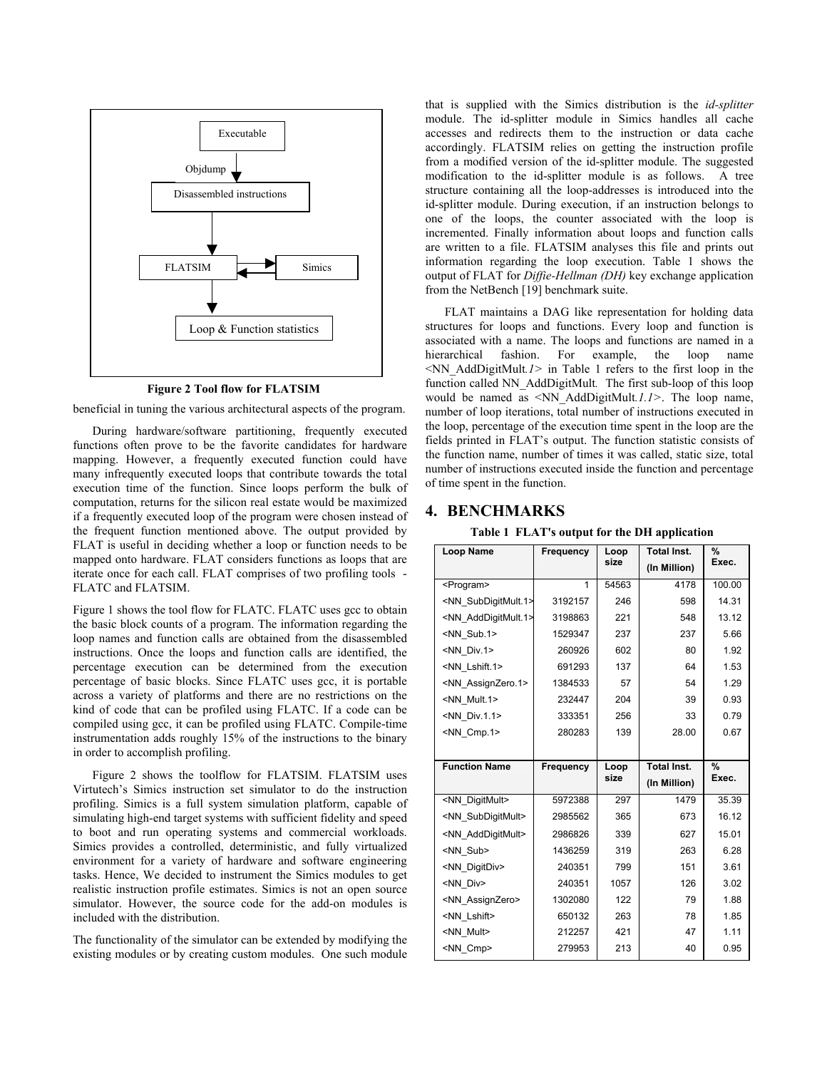

**Figure 2 Tool flow for FLATSIM** 

beneficial in tuning the various architectural aspects of the program.

During hardware/software partitioning, frequently executed functions often prove to be the favorite candidates for hardware mapping. However, a frequently executed function could have many infrequently executed loops that contribute towards the total execution time of the function. Since loops perform the bulk of computation, returns for the silicon real estate would be maximized if a frequently executed loop of the program were chosen instead of the frequent function mentioned above. The output provided by FLAT is useful in deciding whether a loop or function needs to be mapped onto hardware. FLAT considers functions as loops that are iterate once for each call. FLAT comprises of two profiling tools - FLATC and FLATSIM.

Figure 1 shows the tool flow for FLATC. FLATC uses gcc to obtain the basic block counts of a program. The information regarding the loop names and function calls are obtained from the disassembled instructions. Once the loops and function calls are identified, the percentage execution can be determined from the execution percentage of basic blocks. Since FLATC uses gcc, it is portable across a variety of platforms and there are no restrictions on the kind of code that can be profiled using FLATC. If a code can be compiled using gcc, it can be profiled using FLATC. Compile-time instrumentation adds roughly 15% of the instructions to the binary in order to accomplish profiling.

Figure 2 shows the toolflow for FLATSIM. FLATSIM uses Virtutech's Simics instruction set simulator to do the instruction profiling. Simics is a full system simulation platform, capable of simulating high-end target systems with sufficient fidelity and speed to boot and run operating systems and commercial workloads. Simics provides a controlled, deterministic, and fully virtualized environment for a variety of hardware and software engineering tasks. Hence, We decided to instrument the Simics modules to get realistic instruction profile estimates. Simics is not an open source simulator. However, the source code for the add-on modules is included with the distribution.

The functionality of the simulator can be extended by modifying the existing modules or by creating custom modules. One such module that is supplied with the Simics distribution is the *id-splitter* module. The id-splitter module in Simics handles all cache accesses and redirects them to the instruction or data cache accordingly. FLATSIM relies on getting the instruction profile from a modified version of the id-splitter module. The suggested modification to the id-splitter module is as follows. A tree structure containing all the loop-addresses is introduced into the id-splitter module. During execution, if an instruction belongs to one of the loops, the counter associated with the loop is incremented. Finally information about loops and function calls are written to a file. FLATSIM analyses this file and prints out information regarding the loop execution. Table 1 shows the output of FLAT for *Diffie-Hellman (DH)* key exchange application from the NetBench [19] benchmark suite.

FLAT maintains a DAG like representation for holding data structures for loops and functions. Every loop and function is associated with a name. The loops and functions are named in a hierarchical fashion. For example, the loop name <NN\_AddDigitMult*.1>* in Table 1 refers to the first loop in the function called NN\_AddDigitMult*.* The first sub-loop of this loop would be named as <NN\_AddDigitMult*.1.1>*. The loop name, number of loop iterations, total number of instructions executed in the loop, percentage of the execution time spent in the loop are the fields printed in FLAT's output. The function statistic consists of the function name, number of times it was called, static size, total number of instructions executed inside the function and percentage of time spent in the function.

## **4. BENCHMARKS**

**Table 1 FLAT's output for the DH application** 

| Loop Name                   | Frequency | Loop<br>size | <b>Total Inst.</b> | %<br>Exec. |  |  |
|-----------------------------|-----------|--------------|--------------------|------------|--|--|
|                             |           |              | (In Million)       |            |  |  |
| <program></program>         | 1         | 54563        | 4178               | 100.00     |  |  |
| <nn subdigitmult.1=""></nn> | 3192157   | 246          | 598                | 14.31      |  |  |
| <nn adddigitmult.1=""></nn> | 3198863   | 221          | 548                | 13.12      |  |  |
| <nn sub.1=""></nn>          | 1529347   | 237          | 237                | 5.66       |  |  |
| <nn div.1=""></nn>          | 260926    | 602          | 80                 | 1.92       |  |  |
| <nn lshift.1=""></nn>       | 691293    | 137          | 64                 | 1.53       |  |  |
| <nn assignzero.1=""></nn>   | 1384533   | 57           | 54                 | 1.29       |  |  |
| <nn mult.1=""></nn>         | 232447    | 204          | 39                 | 0.93       |  |  |
| <nn div.1.1=""></nn>        | 333351    | 256          | 33                 | 0.79       |  |  |
| <nn cmp.1=""></nn>          | 280283    | 139          | 28.00              | 0.67       |  |  |
|                             |           |              |                    |            |  |  |
| <b>Function Name</b>        | Frequency | Loop         | <b>Total Inst.</b> | %          |  |  |
|                             |           | size         | (In Million)       | Exec.      |  |  |
| <nn digitmult=""></nn>      | 5972388   | 297          | 1479               | 35.39      |  |  |
| <nn subdigitmult=""></nn>   | 2985562   | 365          | 673                | 16.12      |  |  |
| <nn adddigitmult=""></nn>   | 2986826   | 339          | 627                | 15.01      |  |  |
| <nn sub=""></nn>            | 1436259   | 319          | 263                | 6.28       |  |  |
| <nn_digitdiv></nn_digitdiv> | 240351    | 799          | 151                | 3.61       |  |  |
| <nn div=""></nn>            | 240351    | 1057         | 126                | 3.02       |  |  |
| <nn assignzero=""></nn>     | 1302080   | 122          | 79                 | 1.88       |  |  |
| <nn lshift=""></nn>         | 650132    | 263          | 78                 | 1.85       |  |  |
| <nn mult=""></nn>           | 212257    | 421          | 47                 | 1.11       |  |  |
| <nn cmp=""></nn>            | 279953    | 213          | 40                 | 0.95       |  |  |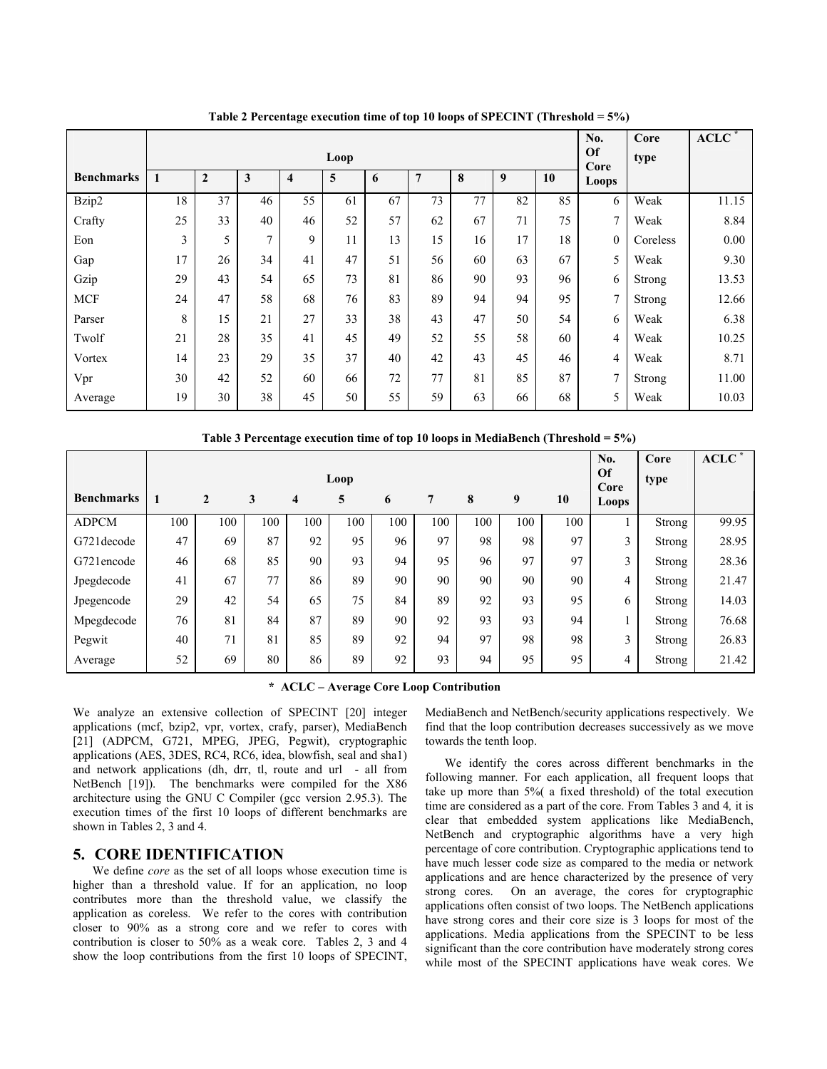|                   |    | Loop           |    |                |    |    |    |    |    |    |                | Core<br>type  | $ACLC^*$ |
|-------------------|----|----------------|----|----------------|----|----|----|----|----|----|----------------|---------------|----------|
| <b>Benchmarks</b> | 1  | $\overline{2}$ | 3  | $\overline{4}$ | 5  | 6  | 7  | 8  | 9  | 10 | Core<br>Loops  |               |          |
| Bzip2             | 18 | 37             | 46 | 55             | 61 | 67 | 73 | 77 | 82 | 85 | 6              | Weak          | 11.15    |
| Crafty            | 25 | 33             | 40 | 46             | 52 | 57 | 62 | 67 | 71 | 75 | 7              | Weak          | 8.84     |
| Eon               | 3  | 5              | 7  | 9              | 11 | 13 | 15 | 16 | 17 | 18 | $\overline{0}$ | Coreless      | 0.00     |
| Gap               | 17 | 26             | 34 | 41             | 47 | 51 | 56 | 60 | 63 | 67 | 5              | Weak          | 9.30     |
| Gzip              | 29 | 43             | 54 | 65             | 73 | 81 | 86 | 90 | 93 | 96 | 6              | Strong        | 13.53    |
| <b>MCF</b>        | 24 | 47             | 58 | 68             | 76 | 83 | 89 | 94 | 94 | 95 | $\tau$         | <b>Strong</b> | 12.66    |
| Parser            | 8  | 15             | 21 | 27             | 33 | 38 | 43 | 47 | 50 | 54 | 6              | Weak          | 6.38     |
| Twolf             | 21 | 28             | 35 | 41             | 45 | 49 | 52 | 55 | 58 | 60 | 4              | Weak          | 10.25    |
| Vortex            | 14 | 23             | 29 | 35             | 37 | 40 | 42 | 43 | 45 | 46 | 4              | Weak          | 8.71     |
| Vpr               | 30 | 42             | 52 | 60             | 66 | 72 | 77 | 81 | 85 | 87 | $\tau$         | <b>Strong</b> | 11.00    |
| Average           | 19 | 30             | 38 | 45             | 50 | 55 | 59 | 63 | 66 | 68 | 5              | Weak          | 10.03    |

**Table 2 Percentage execution time of top 10 loops of SPECINT (Threshold = 5%)** 

|                   |     | Loop |     |     |     |     |     |     |     |     | No.<br>Of<br>Core | Core<br>type | ACLC <sup>*</sup> |
|-------------------|-----|------|-----|-----|-----|-----|-----|-----|-----|-----|-------------------|--------------|-------------------|
| <b>Benchmarks</b> |     |      | 3   | 4   | 5   | 6   |     | 8   | 9   | 10  | Loops             |              |                   |
| <b>ADPCM</b>      | 100 | 100  | 100 | 100 | 100 | 100 | 100 | 100 | 100 | 100 | л.                | Strong       | 99.95             |
| G721decode        | 47  | 69   | 87  | 92  | 95  | 96  | 97  | 98  | 98  | 97  | 3                 | Strong       | 28.95             |
| G721encode        | 46  | 68   | 85  | 90  | 93  | 94  | 95  | 96  | 97  | 97  | 3                 | Strong       | 28.36             |
| Jpegdecode        | 41  | 67   | 77  | 86  | 89  | 90  | 90  | 90  | 90  | 90  | 4                 | Strong       | 21.47             |
| Jpegencode        | 29  | 42   | 54  | 65  | 75  | 84  | 89  | 92  | 93  | 95  | 6                 | Strong       | 14.03             |
| Mpegdecode        | 76  | 81   | 84  | 87  | 89  | 90  | 92  | 93  | 93  | 94  | 1                 | Strong       | 76.68             |
| Pegwit            | 40  | 71   | 81  | 85  | 89  | 92  | 94  | 97  | 98  | 98  | 3                 | Strong       | 26.83             |
|                   |     |      |     |     |     |     |     |     |     |     |                   |              |                   |

Average | 52 | 69 | 80 | 86 | 89 | 92 | 93 | 94 | 95 | 95 | 4 | Strong | 21.42

**Table 3 Percentage execution time of top 10 loops in MediaBench (Threshold = 5%)** 

**\* ACLC – Average Core Loop Contribution**

We analyze an extensive collection of SPECINT [20] integer applications (mcf, bzip2, vpr, vortex, crafy, parser), MediaBench [21] (ADPCM, G721, MPEG, JPEG, Pegwit), cryptographic applications (AES, 3DES, RC4, RC6, idea, blowfish, seal and sha1) and network applications (dh, drr, tl, route and url - all from NetBench [19]). The benchmarks were compiled for the X86 architecture using the GNU C Compiler (gcc version 2.95.3). The execution times of the first 10 loops of different benchmarks are shown in Tables 2, 3 and 4.

#### **5. CORE IDENTIFICATION**

We define *core* as the set of all loops whose execution time is higher than a threshold value. If for an application, no loop contributes more than the threshold value, we classify the application as coreless. We refer to the cores with contribution closer to 90% as a strong core and we refer to cores with contribution is closer to 50% as a weak core. Tables 2, 3 and 4 show the loop contributions from the first 10 loops of SPECINT, MediaBench and NetBench/security applications respectively. We find that the loop contribution decreases successively as we move towards the tenth loop.

We identify the cores across different benchmarks in the following manner. For each application, all frequent loops that take up more than 5%( a fixed threshold) of the total execution time are considered as a part of the core. From Tables 3 and 4*,* it is clear that embedded system applications like MediaBench, NetBench and cryptographic algorithms have a very high percentage of core contribution. Cryptographic applications tend to have much lesser code size as compared to the media or network applications and are hence characterized by the presence of very strong cores. On an average, the cores for cryptographic applications often consist of two loops. The NetBench applications have strong cores and their core size is 3 loops for most of the applications. Media applications from the SPECINT to be less significant than the core contribution have moderately strong cores while most of the SPECINT applications have weak cores. We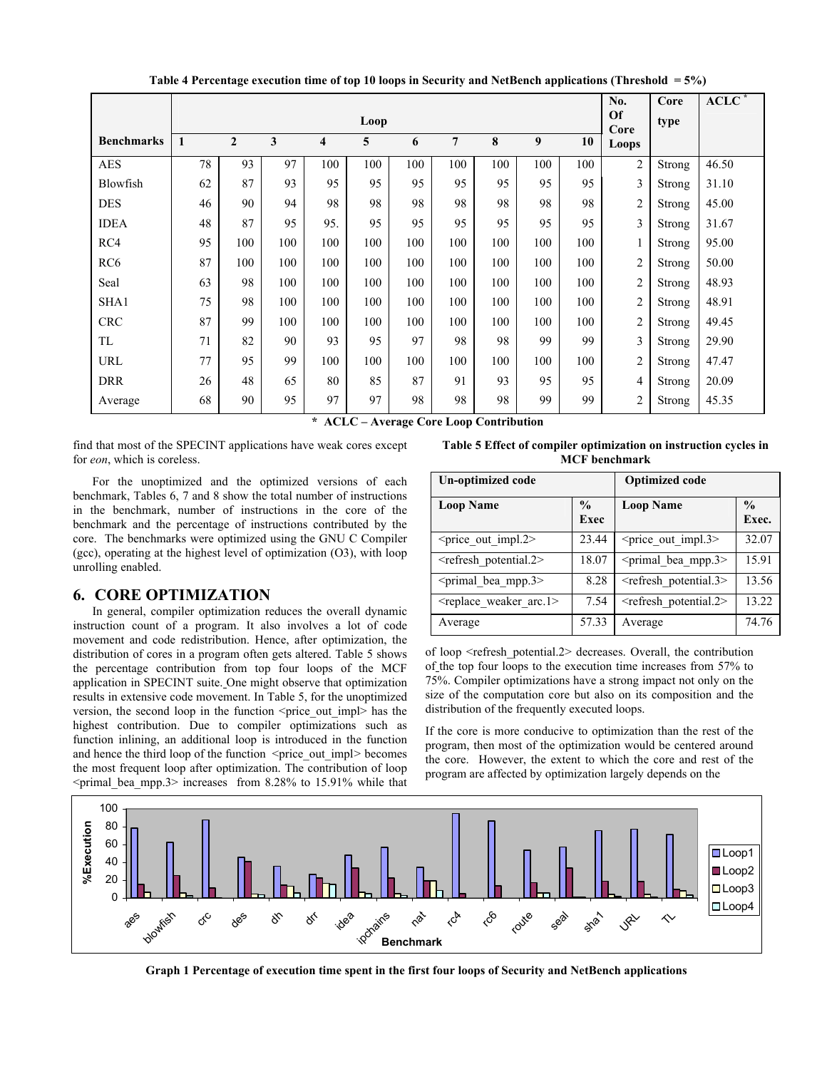**Table 4 Percentage execution time of top 10 loops in Security and NetBench applications (Threshold = 5%)** 

|                   |    |                |     |                     |     |     |     |     |     |     | No.               | Core          | $ACLC$ <sup>*</sup> |
|-------------------|----|----------------|-----|---------------------|-----|-----|-----|-----|-----|-----|-------------------|---------------|---------------------|
|                   |    | Loop           |     |                     |     |     |     |     |     |     | <b>Of</b><br>Core | type          |                     |
| <b>Benchmarks</b> | 1  | $\overline{2}$ | 3   | $\overline{\bf{4}}$ | 5   | 6   | 7   | 8   | 9   | 10  | Loops             |               |                     |
| <b>AES</b>        | 78 | 93             | 97  | 100                 | 100 | 100 | 100 | 100 | 100 | 100 | $\overline{2}$    | Strong        | 46.50               |
| Blowfish          | 62 | 87             | 93  | 95                  | 95  | 95  | 95  | 95  | 95  | 95  | 3                 | <b>Strong</b> | 31.10               |
| <b>DES</b>        | 46 | 90             | 94  | 98                  | 98  | 98  | 98  | 98  | 98  | 98  | $\overline{2}$    | <b>Strong</b> | 45.00               |
| <b>IDEA</b>       | 48 | 87             | 95  | 95.                 | 95  | 95  | 95  | 95  | 95  | 95  | 3                 | <b>Strong</b> | 31.67               |
| RC4               | 95 | 100            | 100 | 100                 | 100 | 100 | 100 | 100 | 100 | 100 |                   | Strong        | 95.00               |
| RC <sub>6</sub>   | 87 | 100            | 100 | 100                 | 100 | 100 | 100 | 100 | 100 | 100 | 2                 | Strong        | 50.00               |
| Seal              | 63 | 98             | 100 | 100                 | 100 | 100 | 100 | 100 | 100 | 100 | 2                 | Strong        | 48.93               |
| SHA1              | 75 | 98             | 100 | 100                 | 100 | 100 | 100 | 100 | 100 | 100 | 2                 | Strong        | 48.91               |
| CRC               | 87 | 99             | 100 | 100                 | 100 | 100 | 100 | 100 | 100 | 100 | 2                 | Strong        | 49.45               |
| TL                | 71 | 82             | 90  | 93                  | 95  | 97  | 98  | 98  | 99  | 99  | 3                 | Strong        | 29.90               |
| <b>URL</b>        | 77 | 95             | 99  | 100                 | 100 | 100 | 100 | 100 | 100 | 100 | 2                 | Strong        | 47.47               |
| <b>DRR</b>        | 26 | 48             | 65  | 80                  | 85  | 87  | 91  | 93  | 95  | 95  | 4                 | Strong        | 20.09               |
| Average           | 68 | 90             | 95  | 97                  | 97  | 98  | 98  | 98  | 99  | 99  | 2                 | Strong        | 45.35               |

**\* ACLC – Average Core Loop Contribution** 

find that most of the SPECINT applications have weak cores except for *eon*, which is coreless.

**Table 5 Effect of compiler optimization on instruction cycles in MCF benchmark** 

For the unoptimized and the optimized versions of each benchmark, Tables 6, 7 and 8 show the total number of instructions in the benchmark, number of instructions in the core of the benchmark and the percentage of instructions contributed by the core. The benchmarks were optimized using the GNU C Compiler (gcc), operating at the highest level of optimization (O3), with loop unrolling enabled.

#### **6. CORE OPTIMIZATION**

In general, compiler optimization reduces the overall dynamic instruction count of a program. It also involves a lot of code movement and code redistribution. Hence, after optimization, the distribution of cores in a program often gets altered. Table 5 shows the percentage contribution from top four loops of the MCF application in SPECINT suite. One might observe that optimization results in extensive code movement. In Table 5, for the unoptimized version, the second loop in the function  $\le$ price out impl> has the highest contribution. Due to compiler optimizations such as function inlining, an additional loop is introduced in the function and hence the third loop of the function <price\_out\_impl> becomes the most frequent loop after optimization. The contribution of loop  $\epsilon$  /sprimal bea mpp.3> increases from 8.28% to 15.91% while that

| Un-optimized code                      | <b>Optimized code</b> |                                   |                        |  |  |
|----------------------------------------|-----------------------|-----------------------------------|------------------------|--|--|
| <b>Loop Name</b>                       | $\frac{0}{0}$<br>Exec | <b>Loop Name</b>                  | $\frac{0}{0}$<br>Exec. |  |  |
| <price impl.2="" out=""></price>       | 23.44                 | <price out_impl.3=""></price>     | 32.07                  |  |  |
| <refresh potential.2=""></refresh>     | 18.07                 | <primal bea="" mpp.3=""></primal> | 15.91                  |  |  |
| <primal bea="" mpp.3=""></primal>      | 8.28                  | $\leq$ refresh potential.3>       | 13.56                  |  |  |
| <replace arc.1="" weaker=""></replace> | 7.54                  | $\leq$ refresh potential.2>       | 13.22                  |  |  |
| Average                                | 57.33                 | Average                           | 74.76                  |  |  |

of loop <refresh\_potential.2> decreases. Overall, the contribution of the top four loops to the execution time increases from 57% to 75%. Compiler optimizations have a strong impact not only on the size of the computation core but also on its composition and the distribution of the frequently executed loops.

If the core is more conducive to optimization than the rest of the program, then most of the optimization would be centered around the core. However, the extent to which the core and rest of the program are affected by optimization largely depends on the



**Graph 1 Percentage of execution time spent in the first four loops of Security and NetBench applications**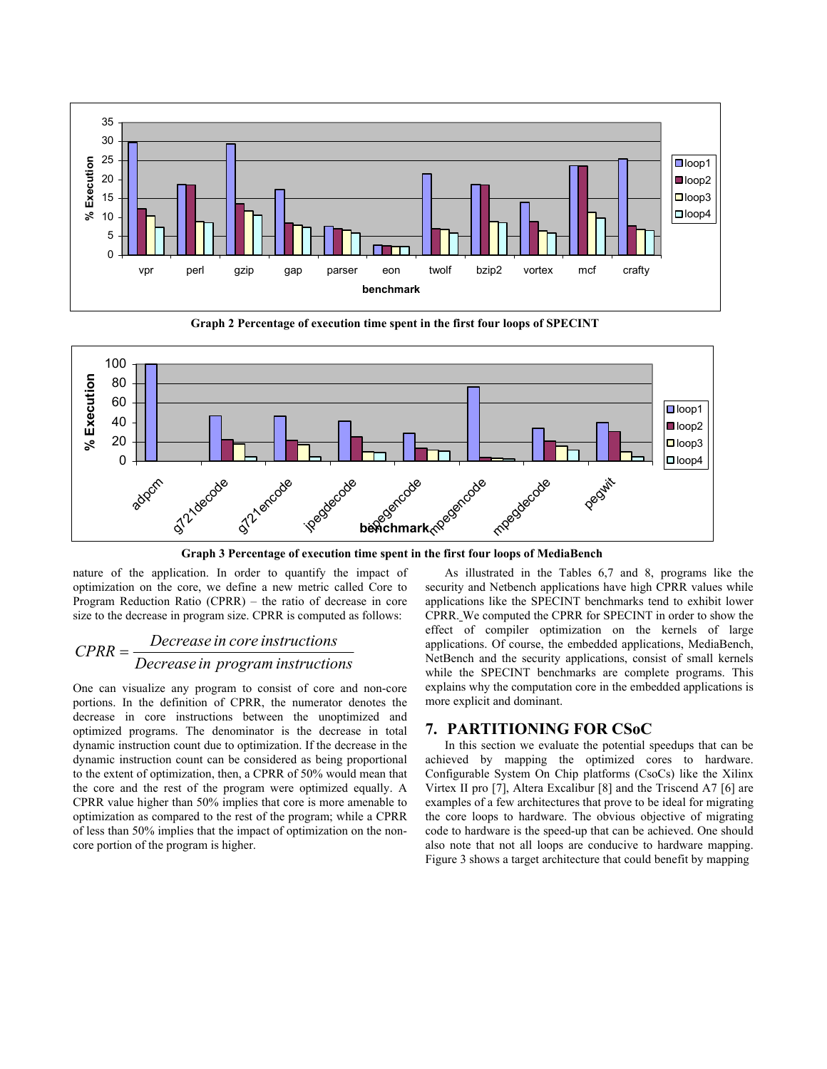

**Graph 2 Percentage of execution time spent in the first four loops of SPECINT** 



**Graph 3 Percentage of execution time spent in the first four loops of MediaBench** 

nature of the application. In order to quantify the impact of optimization on the core, we define a new metric called Core to Program Reduction Ratio (CPRR) – the ratio of decrease in core size to the decrease in program size. CPRR is computed as follows:

# *Decrease in program instructions Decrease in core instructions CPRR* <sup>=</sup>

One can visualize any program to consist of core and non-core portions. In the definition of CPRR, the numerator denotes the decrease in core instructions between the unoptimized and optimized programs. The denominator is the decrease in total dynamic instruction count due to optimization. If the decrease in the dynamic instruction count can be considered as being proportional to the extent of optimization, then, a CPRR of 50% would mean that the core and the rest of the program were optimized equally. A CPRR value higher than 50% implies that core is more amenable to optimization as compared to the rest of the program; while a CPRR of less than 50% implies that the impact of optimization on the noncore portion of the program is higher.

As illustrated in the Tables 6,7 and 8, programs like the security and Netbench applications have high CPRR values while applications like the SPECINT benchmarks tend to exhibit lower CPRR. We computed the CPRR for SPECINT in order to show the effect of compiler optimization on the kernels of large applications. Of course, the embedded applications, MediaBench, NetBench and the security applications, consist of small kernels while the SPECINT benchmarks are complete programs. This explains why the computation core in the embedded applications is more explicit and dominant.

## **7. PARTITIONING FOR CSoC**

In this section we evaluate the potential speedups that can be achieved by mapping the optimized cores to hardware. Configurable System On Chip platforms (CsoCs) like the Xilinx Virtex II pro [7], Altera Excalibur [8] and the Triscend A7 [6] are examples of a few architectures that prove to be ideal for migrating the core loops to hardware. The obvious objective of migrating code to hardware is the speed-up that can be achieved. One should also note that not all loops are conducive to hardware mapping. Figure 3 shows a target architecture that could benefit by mapping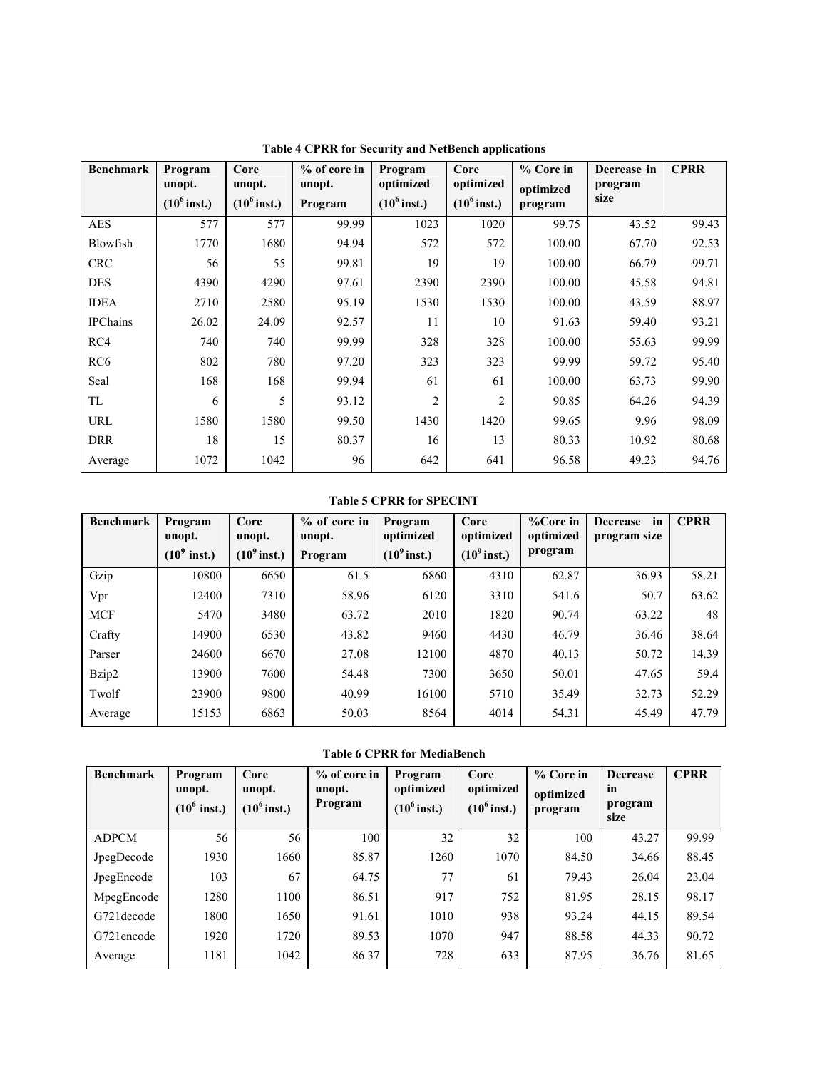| <b>Benchmark</b> | Program<br>unopt.     | Core<br>unopt. | % of core in<br>unopt. | Program<br>optimized | Core<br>optimized | % Core in<br>optimized | Decrease in<br>program | <b>CPRR</b> |
|------------------|-----------------------|----------------|------------------------|----------------------|-------------------|------------------------|------------------------|-------------|
|                  | $(10^6 \text{inst.})$ | $(10^6$ inst.) | Program                | $(10^6$ inst.)       | $(10^6$ inst.)    | program                | size                   |             |
| <b>AES</b>       | 577                   | 577            | 99.99                  | 1023                 | 1020              | 99.75                  | 43.52                  | 99.43       |
| Blowfish         | 1770                  | 1680           | 94.94                  | 572                  | 572               | 100.00                 | 67.70                  | 92.53       |
| <b>CRC</b>       | 56                    | 55             | 99.81                  | 19                   | 19                | 100.00                 | 66.79                  | 99.71       |
| <b>DES</b>       | 4390                  | 4290           | 97.61                  | 2390                 | 2390              | 100.00                 | 45.58                  | 94.81       |
| <b>IDEA</b>      | 2710                  | 2580           | 95.19                  | 1530                 | 1530              | 100.00                 | 43.59                  | 88.97       |
| <b>IPChains</b>  | 26.02                 | 24.09          | 92.57                  | 11                   | 10                | 91.63                  | 59.40                  | 93.21       |
| RC4              | 740                   | 740            | 99.99                  | 328                  | 328               | 100.00                 | 55.63                  | 99.99       |
| RC <sub>6</sub>  | 802                   | 780            | 97.20                  | 323                  | 323               | 99.99                  | 59.72                  | 95.40       |
| Seal             | 168                   | 168            | 99.94                  | 61                   | 61                | 100.00                 | 63.73                  | 99.90       |
| TL               | 6                     | 5              | 93.12                  | $\overline{c}$       | $\overline{2}$    | 90.85                  | 64.26                  | 94.39       |
| <b>URL</b>       | 1580                  | 1580           | 99.50                  | 1430                 | 1420              | 99.65                  | 9.96                   | 98.09       |
| <b>DRR</b>       | 18                    | 15             | 80.37                  | 16                   | 13                | 80.33                  | 10.92                  | 80.68       |
| Average          | 1072                  | 1042           | 96                     | 642                  | 641               | 96.58                  | 49.23                  | 94.76       |

**Table 4 CPRR for Security and NetBench applications** 

#### **Table 5 CPRR for SPECINT**

| <b>Benchmark</b> | Program<br>unopt.      | Core<br>unopt.        | $%$ of core in<br>unopt. | Program<br>optimized  | Core<br>optimized     | $%Core$ in<br>optimized | in<br><b>Decrease</b><br>program size | <b>CPRR</b> |
|------------------|------------------------|-----------------------|--------------------------|-----------------------|-----------------------|-------------------------|---------------------------------------|-------------|
|                  | $(10^9 \text{ inst.})$ | $(10^9 \text{inst.})$ | Program                  | $(10^9 \text{inst.})$ | $(10^9 \text{inst.})$ | program                 |                                       |             |
| Gzip             | 10800                  | 6650                  | 61.5                     | 6860                  | 4310                  | 62.87                   | 36.93                                 | 58.21       |
| Vpr              | 12400                  | 7310                  | 58.96                    | 6120                  | 3310                  | 541.6                   | 50.7                                  | 63.62       |
| <b>MCF</b>       | 5470                   | 3480                  | 63.72                    | 2010                  | 1820                  | 90.74                   | 63.22                                 | 48          |
| Crafty           | 14900                  | 6530                  | 43.82                    | 9460                  | 4430                  | 46.79                   | 36.46                                 | 38.64       |
| Parser           | 24600                  | 6670                  | 27.08                    | 12100                 | 4870                  | 40.13                   | 50.72                                 | 14.39       |
| Bzip2            | 13900                  | 7600                  | 54.48                    | 7300                  | 3650                  | 50.01                   | 47.65                                 | 59.4        |
| Twolf            | 23900                  | 9800                  | 40.99                    | 16100                 | 5710                  | 35.49                   | 32.73                                 | 52.29       |
| Average          | 15153                  | 6863                  | 50.03                    | 8564                  | 4014                  | 54.31                   | 45.49                                 | 47.79       |

## **Table 6 CPRR for MediaBench**

| <b>Benchmark</b> | Program<br>unopt.<br>$(10^6$ inst.) | Core<br>unopt.<br>$(10^6 \text{inst.})$ | $%$ of core in<br>unopt.<br>Program | Program<br>optimized<br>$(10^6 \text{inst.})$ | Core<br>optimized<br>$(10^6$ inst.) | $%$ Core in<br>optimized<br>program | <b>Decrease</b><br>in<br>program<br>size | <b>CPRR</b> |
|------------------|-------------------------------------|-----------------------------------------|-------------------------------------|-----------------------------------------------|-------------------------------------|-------------------------------------|------------------------------------------|-------------|
| <b>ADPCM</b>     | 56                                  | 56                                      | 100                                 | 32                                            | 32                                  | 100                                 | 43.27                                    | 99.99       |
| JpegDecode       | 1930                                | 1660                                    | 85.87                               | 1260                                          | 1070                                | 84.50                               | 34.66                                    | 88.45       |
| JpegEncode       | 103                                 | 67                                      | 64.75                               | 77                                            | 61                                  | 79.43                               | 26.04                                    | 23.04       |
| MpegEncode       | 1280                                | 1100                                    | 86.51                               | 917                                           | 752                                 | 81.95                               | 28.15                                    | 98.17       |
| G721decode       | 1800                                | 1650                                    | 91.61                               | 1010                                          | 938                                 | 93.24                               | 44.15                                    | 89.54       |
| G721encode       | 1920                                | 1720                                    | 89.53                               | 1070                                          | 947                                 | 88.58                               | 44.33                                    | 90.72       |
| Average          | 1181                                | 1042                                    | 86.37                               | 728                                           | 633                                 | 87.95                               | 36.76                                    | 81.65       |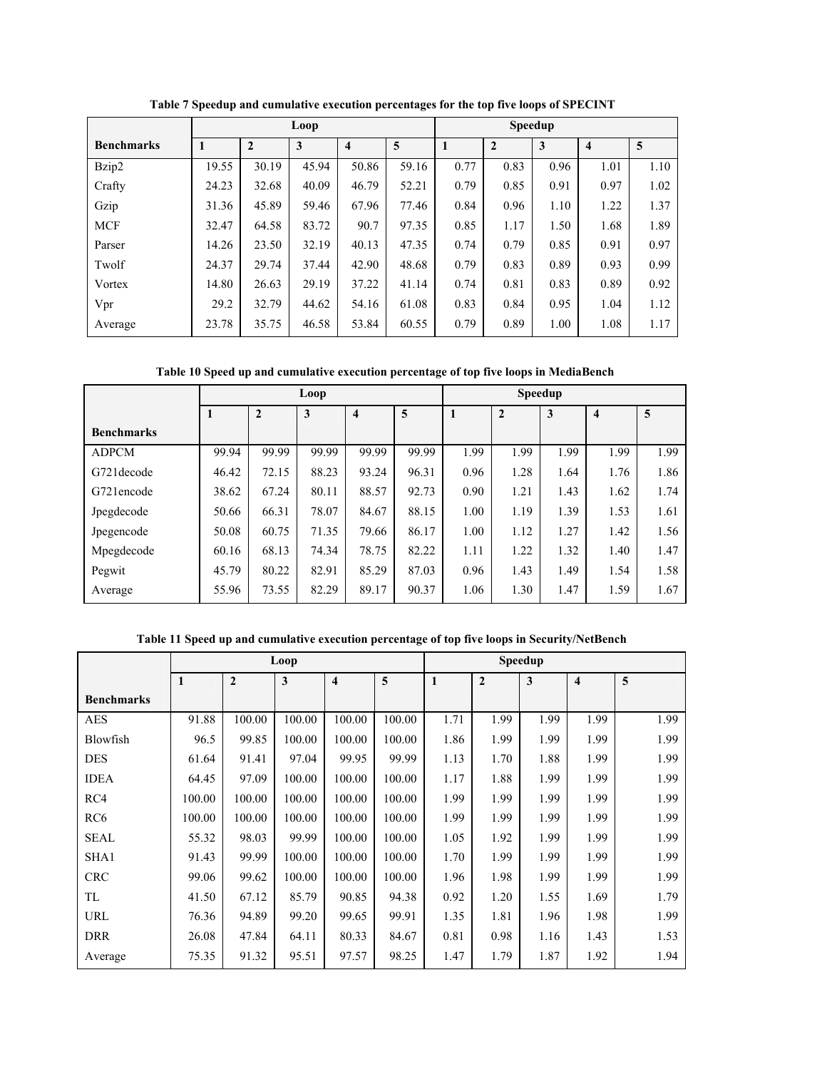|                   |       |                | Loop  |                     |       | <b>Speedup</b> |              |      |                     |      |  |
|-------------------|-------|----------------|-------|---------------------|-------|----------------|--------------|------|---------------------|------|--|
| <b>Benchmarks</b> | 1     | $\overline{2}$ | 3     | $\overline{\bf{4}}$ | 5     | 1              | $\mathbf{2}$ | 3    | $\overline{\bf{4}}$ | 5    |  |
| Bzip2             | 19.55 | 30.19          | 45.94 | 50.86               | 59.16 | 0.77           | 0.83         | 0.96 | 1.01                | 1.10 |  |
| Crafty            | 24.23 | 32.68          | 40.09 | 46.79               | 52.21 | 0.79           | 0.85         | 0.91 | 0.97                | 1.02 |  |
| Gzip              | 31.36 | 45.89          | 59.46 | 67.96               | 77.46 | 0.84           | 0.96         | 1.10 | 1.22                | 1.37 |  |
| <b>MCF</b>        | 32.47 | 64.58          | 83.72 | 90.7                | 97.35 | 0.85           | 1.17         | 1.50 | 1.68                | 1.89 |  |
| Parser            | 14.26 | 23.50          | 32.19 | 40.13               | 47.35 | 0.74           | 0.79         | 0.85 | 0.91                | 0.97 |  |
| Twolf             | 24.37 | 29.74          | 37.44 | 42.90               | 48.68 | 0.79           | 0.83         | 0.89 | 0.93                | 0.99 |  |
| Vortex            | 14.80 | 26.63          | 29.19 | 37.22               | 41.14 | 0.74           | 0.81         | 0.83 | 0.89                | 0.92 |  |
| Vpr               | 29.2  | 32.79          | 44.62 | 54.16               | 61.08 | 0.83           | 0.84         | 0.95 | 1.04                | 1.12 |  |
| Average           | 23.78 | 35.75          | 46.58 | 53.84               | 60.55 | 0.79           | 0.89         | 1.00 | 1.08                | 1.17 |  |

**Table 7 Speedup and cumulative execution percentages for the top five loops of SPECINT** 

**Table 10 Speed up and cumulative execution percentage of top five loops in MediaBench** 

|                   |       |              | Loop  |       |       | Speedup |                |      |                     |      |  |
|-------------------|-------|--------------|-------|-------|-------|---------|----------------|------|---------------------|------|--|
|                   |       | $\mathbf{2}$ | 3     | 4     | 5     | 1       | $\overline{2}$ | 3    | $\overline{\bf{4}}$ | 5    |  |
| <b>Benchmarks</b> |       |              |       |       |       |         |                |      |                     |      |  |
| <b>ADPCM</b>      | 99.94 | 99.99        | 99.99 | 99.99 | 99.99 | 1.99    | 1.99           | 1.99 | 1.99                | 1.99 |  |
| G721decode        | 46.42 | 72.15        | 88.23 | 93.24 | 96.31 | 0.96    | 1.28           | 1.64 | 1.76                | 1.86 |  |
| G721encode        | 38.62 | 67.24        | 80.11 | 88.57 | 92.73 | 0.90    | 1.21           | 1.43 | 1.62                | 1.74 |  |
| Jpegdecode        | 50.66 | 66.31        | 78.07 | 84.67 | 88.15 | 1.00    | 1.19           | 1.39 | 1.53                | 1.61 |  |
| Jpegencode        | 50.08 | 60.75        | 71.35 | 79.66 | 86.17 | 1.00    | 1.12           | 1.27 | 1.42                | 1.56 |  |
| Mpegdecode        | 60.16 | 68.13        | 74.34 | 78.75 | 82.22 | 1.11    | 1.22           | 1.32 | 1.40                | 1.47 |  |
| Pegwit            | 45.79 | 80.22        | 82.91 | 85.29 | 87.03 | 0.96    | 1.43           | 1.49 | 1.54                | 1.58 |  |
| Average           | 55.96 | 73.55        | 82.29 | 89.17 | 90.37 | 1.06    | 1.30           | 1.47 | 1.59                | 1.67 |  |

## **Table 11 Speed up and cumulative execution percentage of top five loops in Security/NetBench**

|                   |              |              | Loop   |                     |        | <b>Speedup</b> |                |      |                         |      |  |
|-------------------|--------------|--------------|--------|---------------------|--------|----------------|----------------|------|-------------------------|------|--|
|                   | $\mathbf{1}$ | $\mathbf{2}$ | 3      | $\overline{\bf{4}}$ | 5      | 1              | $\overline{2}$ | 3    | $\overline{\mathbf{4}}$ | 5    |  |
| <b>Benchmarks</b> |              |              |        |                     |        |                |                |      |                         |      |  |
| <b>AES</b>        | 91.88        | 100.00       | 100.00 | 100.00              | 100.00 | 1.71           | 1.99           | 1.99 | 1.99                    | 1.99 |  |
| Blowfish          | 96.5         | 99.85        | 100.00 | 100.00              | 100.00 | 1.86           | 1.99           | 1.99 | 1.99                    | 1.99 |  |
| <b>DES</b>        | 61.64        | 91.41        | 97.04  | 99.95               | 99.99  | 1.13           | 1.70           | 1.88 | 1.99                    | 1.99 |  |
| <b>IDEA</b>       | 64.45        | 97.09        | 100.00 | 100.00              | 100.00 | 1.17           | 1.88           | 1.99 | 1.99                    | 1.99 |  |
| RC4               | 100.00       | 100.00       | 100.00 | 100.00              | 100.00 | 1.99           | 1.99           | 1.99 | 1.99                    | 1.99 |  |
| RC <sub>6</sub>   | 100.00       | 100.00       | 100.00 | 100.00              | 100.00 | 1.99           | 1.99           | 1.99 | 1.99                    | 1.99 |  |
| <b>SEAL</b>       | 55.32        | 98.03        | 99.99  | 100.00              | 100.00 | 1.05           | 1.92           | 1.99 | 1.99                    | 1.99 |  |
| SHA1              | 91.43        | 99.99        | 100.00 | 100.00              | 100.00 | 1.70           | 1.99           | 1.99 | 1.99                    | 1.99 |  |
| <b>CRC</b>        | 99.06        | 99.62        | 100.00 | 100.00              | 100.00 | 1.96           | 1.98           | 1.99 | 1.99                    | 1.99 |  |
| TL                | 41.50        | 67.12        | 85.79  | 90.85               | 94.38  | 0.92           | 1.20           | 1.55 | 1.69                    | 1.79 |  |
| URL               | 76.36        | 94.89        | 99.20  | 99.65               | 99.91  | 1.35           | 1.81           | 1.96 | 1.98                    | 1.99 |  |
| <b>DRR</b>        | 26.08        | 47.84        | 64.11  | 80.33               | 84.67  | 0.81           | 0.98           | 1.16 | 1.43                    | 1.53 |  |
| Average           | 75.35        | 91.32        | 95.51  | 97.57               | 98.25  | 1.47           | 1.79           | 1.87 | 1.92                    | 1.94 |  |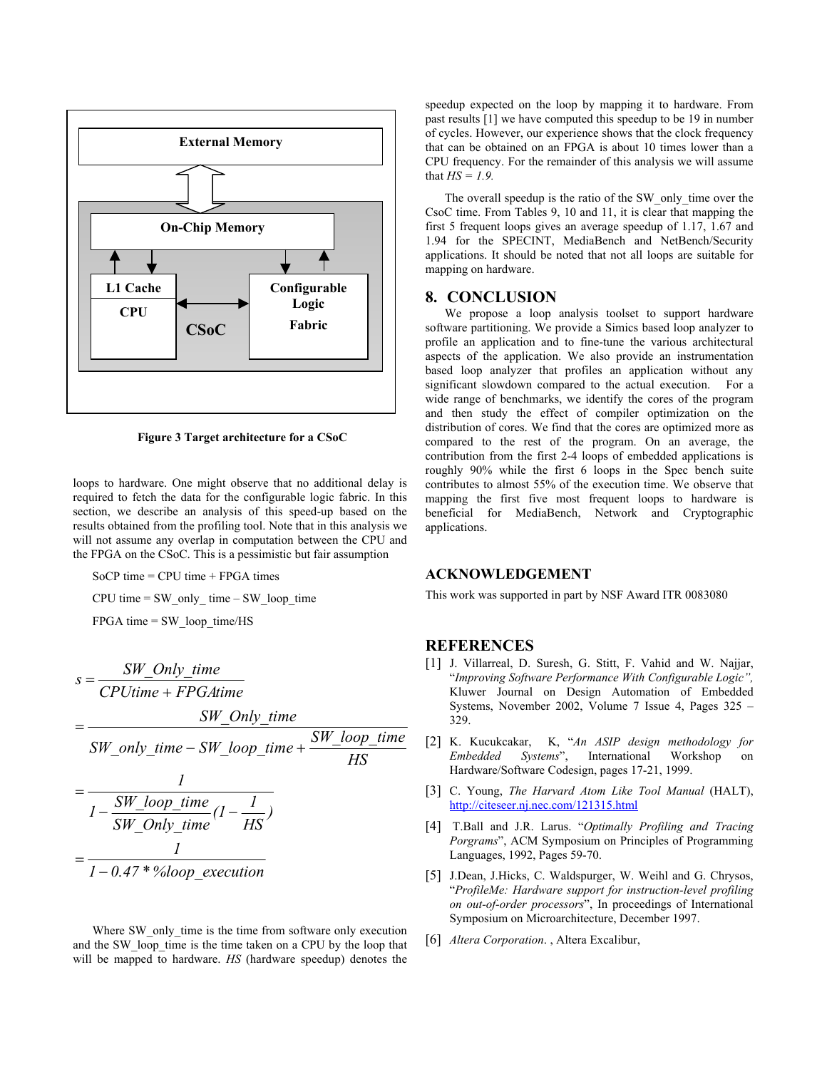

**Figure 3 Target architecture for a CSoC** 

loops to hardware. One might observe that no additional delay is required to fetch the data for the configurable logic fabric. In this section, we describe an analysis of this speed-up based on the results obtained from the profiling tool. Note that in this analysis we will not assume any overlap in computation between the CPU and the FPGA on the CSoC. This is a pessimistic but fair assumption

SoCP time = CPU time + FPGA times  $CPU time = SW$  only time – SW loop time FPGA time = SW\_loop\_time/HS

$$
s = \frac{SW\_Only\_time}{CPUtime + FPGAtime}
$$
  
= 
$$
\frac{SW\_Only\_time}{SW\_only\_time - SW\_loop\_time + \frac{SW\_loop\_time}{HS}}
$$
  
= 
$$
\frac{1}{1 - \frac{SW\_loop\_time}{SW\_only\_time} (1 - \frac{1}{HS})}
$$

$$
=\frac{1}{1-0.47*%loop\; execution}
$$

Where SW\_only\_time is the time from software only execution and the SW loop time is the time taken on a CPU by the loop that will be mapped to hardware. *HS* (hardware speedup) denotes the

*) HS*

speedup expected on the loop by mapping it to hardware. From past results [1] we have computed this speedup to be 19 in number of cycles. However, our experience shows that the clock frequency that can be obtained on an FPGA is about 10 times lower than a CPU frequency. For the remainder of this analysis we will assume that *HS = 1.9.*

The overall speedup is the ratio of the SW\_only\_time over the CsoC time. From Tables 9, 10 and 11, it is clear that mapping the first 5 frequent loops gives an average speedup of 1.17, 1.67 and 1.94 for the SPECINT, MediaBench and NetBench/Security applications. It should be noted that not all loops are suitable for mapping on hardware.

#### **8. CONCLUSION**

We propose a loop analysis toolset to support hardware software partitioning. We provide a Simics based loop analyzer to profile an application and to fine-tune the various architectural aspects of the application. We also provide an instrumentation based loop analyzer that profiles an application without any significant slowdown compared to the actual execution. For a wide range of benchmarks, we identify the cores of the program and then study the effect of compiler optimization on the distribution of cores. We find that the cores are optimized more as compared to the rest of the program. On an average, the contribution from the first 2-4 loops of embedded applications is roughly 90% while the first 6 loops in the Spec bench suite contributes to almost 55% of the execution time. We observe that mapping the first five most frequent loops to hardware is beneficial for MediaBench, Network and Cryptographic applications.

#### **ACKNOWLEDGEMENT**

This work was supported in part by NSF Award ITR 0083080

## **REFERENCES**

- [1] J. Villarreal, D. Suresh, G. Stitt, F. Vahid and W. Najjar, "*Improving Software Performance With Configurable Logic",* Kluwer Journal on Design Automation of Embedded Systems, November 2002, Volume 7 Issue 4, Pages 325 – 329.
- [2] K. Kucukcakar, K, "*An ASIP design methodology for Embedded Systems*", International Workshop on Hardware/Software Codesign, pages 17-21, 1999.
- [3] C. Young, *The Harvard Atom Like Tool Manual* (HALT), http://citeseer.nj.nec.com/121315.html
- [4] T.Ball and J.R. Larus. "*Optimally Profiling and Tracing Porgrams*", ACM Symposium on Principles of Programming Languages, 1992, Pages 59-70.
- [5] J.Dean, J.Hicks, C. Waldspurger, W. Weihl and G. Chrysos, "*ProfileMe: Hardware support for instruction-level profiling on out-of-order processors*", In proceedings of International Symposium on Microarchitecture, December 1997.
- [6] *Altera Corporation*. , Altera Excalibur,